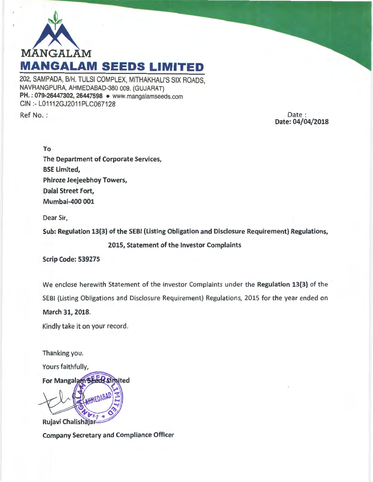

202, SAMPADA, B/H. TULSI COMPLEX, MITHAKHALl'S SIX ROADS, NAVRANGPURA, AHMEDABAD-380 009. (GUJARAT) PH.: 079-26447302, 26447598 • www.mangalamseeds.com CIN :- L01112GJ2011PLC067128

Ref No. :

Date: Date: 04/04/2018

To The Department of Corporate Services, BSE Limited, Phiroze Jeejeebhoy Towers, Dalal Street Fort, Mumbai-400 001

Dear Sir,

Sub: Regulation 13(3) of the SEBI (Listing Obligation and Disclosure Requirement) Regulations,

2015, Statement of the Investor Complaints

Scrip Code: 539275

We enclose herewith Statement of the Investor Complaints under the Regulation 13(3) of the SEBI (Listing Obligations and Disclosure Requirement) Regulations, 2015 for the year ended on March 31, 2018.

Kindly take it on your record.

Thanking you.

Yours faithfully,

For Mangalam<sup>\$</sup> Simited Rujavi Chalishaja

Company Secretary and Compliance Officer